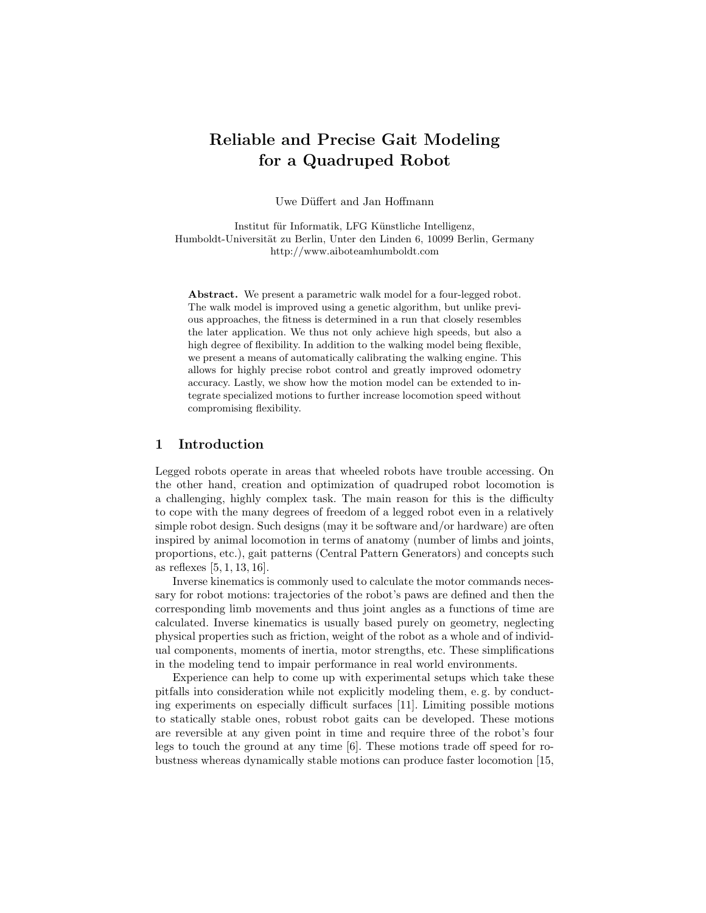# Reliable and Precise Gait Modeling for a Quadruped Robot

Uwe Düffert and Jan Hoffmann

Institut für Informatik, LFG Künstliche Intelligenz, Humboldt-Universität zu Berlin, Unter den Linden 6, 10099 Berlin, Germany http://www.aiboteamhumboldt.com

Abstract. We present a parametric walk model for a four-legged robot. The walk model is improved using a genetic algorithm, but unlike previous approaches, the fitness is determined in a run that closely resembles the later application. We thus not only achieve high speeds, but also a high degree of flexibility. In addition to the walking model being flexible, we present a means of automatically calibrating the walking engine. This allows for highly precise robot control and greatly improved odometry accuracy. Lastly, we show how the motion model can be extended to integrate specialized motions to further increase locomotion speed without compromising flexibility.

# 1 Introduction

Legged robots operate in areas that wheeled robots have trouble accessing. On the other hand, creation and optimization of quadruped robot locomotion is a challenging, highly complex task. The main reason for this is the difficulty to cope with the many degrees of freedom of a legged robot even in a relatively simple robot design. Such designs (may it be software and/or hardware) are often inspired by animal locomotion in terms of anatomy (number of limbs and joints, proportions, etc.), gait patterns (Central Pattern Generators) and concepts such as reflexes [5, 1, 13, 16].

Inverse kinematics is commonly used to calculate the motor commands necessary for robot motions: trajectories of the robot's paws are defined and then the corresponding limb movements and thus joint angles as a functions of time are calculated. Inverse kinematics is usually based purely on geometry, neglecting physical properties such as friction, weight of the robot as a whole and of individual components, moments of inertia, motor strengths, etc. These simplifications in the modeling tend to impair performance in real world environments.

Experience can help to come up with experimental setups which take these pitfalls into consideration while not explicitly modeling them, e. g. by conducting experiments on especially difficult surfaces [11]. Limiting possible motions to statically stable ones, robust robot gaits can be developed. These motions are reversible at any given point in time and require three of the robot's four legs to touch the ground at any time [6]. These motions trade off speed for robustness whereas dynamically stable motions can produce faster locomotion [15,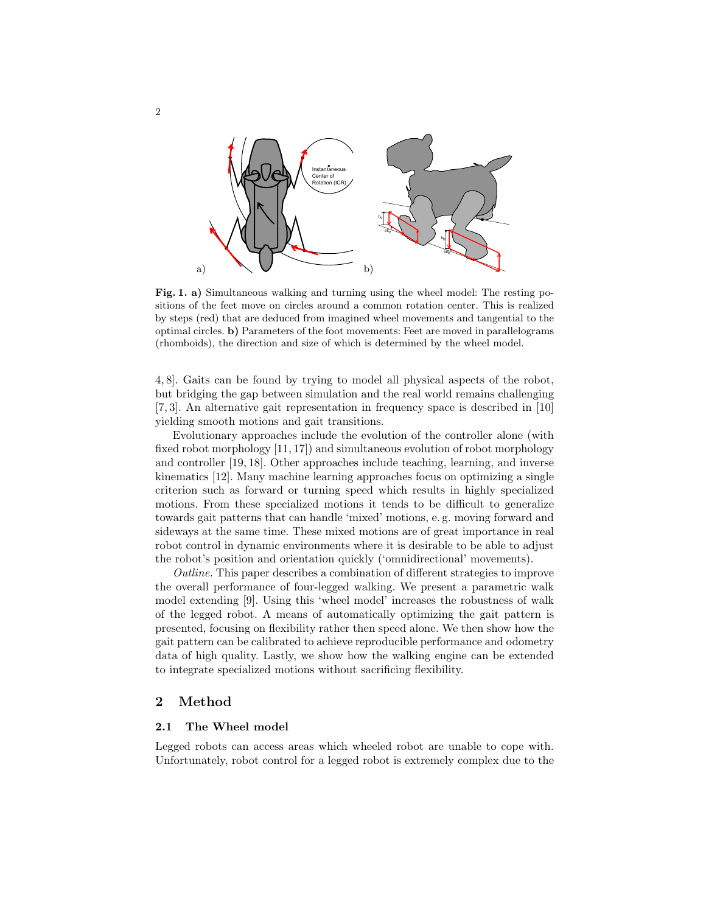

Fig. 1. a) Simultaneous walking and turning using the wheel model: The resting positions of the feet move on circles around a common rotation center. This is realized by steps (red) that are deduced from imagined wheel movements and tangential to the optimal circles. b) Parameters of the foot movements: Feet are moved in parallelograms (rhomboids), the direction and size of which is determined by the wheel model.

4, 8]. Gaits can be found by trying to model all physical aspects of the robot, but bridging the gap between simulation and the real world remains challenging [7, 3]. An alternative gait representation in frequency space is described in [10] yielding smooth motions and gait transitions.

Evolutionary approaches include the evolution of the controller alone (with fixed robot morphology [11, 17]) and simultaneous evolution of robot morphology and controller [19, 18]. Other approaches include teaching, learning, and inverse kinematics [12]. Many machine learning approaches focus on optimizing a single criterion such as forward or turning speed which results in highly specialized motions. From these specialized motions it tends to be difficult to generalize towards gait patterns that can handle 'mixed' motions, e. g. moving forward and sideways at the same time. These mixed motions are of great importance in real robot control in dynamic environments where it is desirable to be able to adjust the robot's position and orientation quickly ('omnidirectional' movements).

Outline. This paper describes a combination of different strategies to improve the overall performance of four-legged walking. We present a parametric walk model extending [9]. Using this 'wheel model' increases the robustness of walk of the legged robot. A means of automatically optimizing the gait pattern is presented, focusing on flexibility rather then speed alone. We then show how the gait pattern can be calibrated to achieve reproducible performance and odometry data of high quality. Lastly, we show how the walking engine can be extended to integrate specialized motions without sacrificing flexibility.

## 2 Method

#### 2.1 The Wheel model

Legged robots can access areas which wheeled robot are unable to cope with. Unfortunately, robot control for a legged robot is extremely complex due to the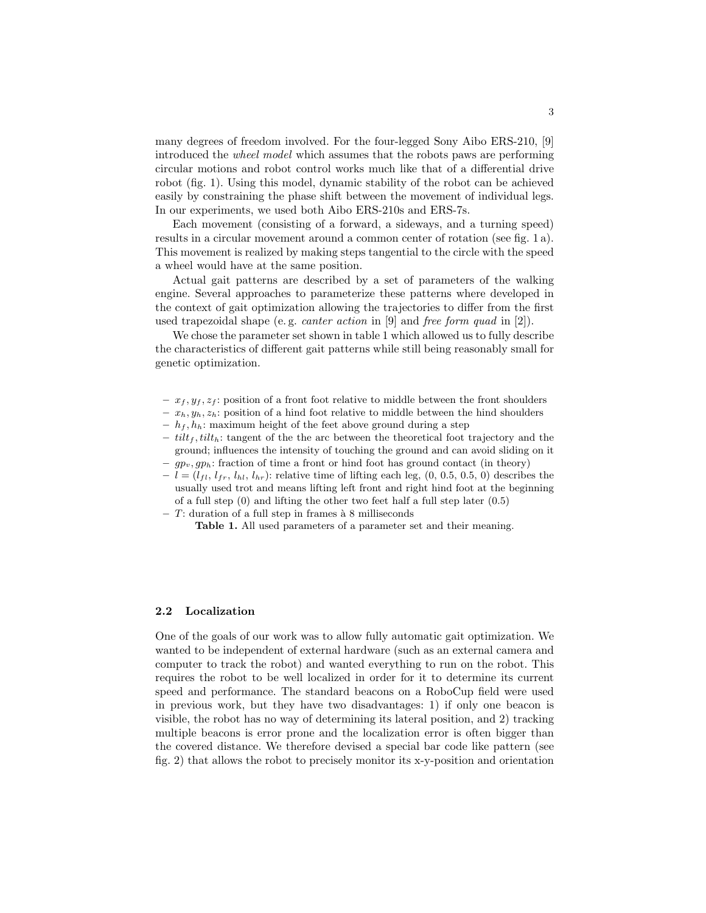many degrees of freedom involved. For the four-legged Sony Aibo ERS-210, [9] introduced the wheel model which assumes that the robots paws are performing circular motions and robot control works much like that of a differential drive robot (fig. 1). Using this model, dynamic stability of the robot can be achieved easily by constraining the phase shift between the movement of individual legs. In our experiments, we used both Aibo ERS-210s and ERS-7s.

Each movement (consisting of a forward, a sideways, and a turning speed) results in a circular movement around a common center of rotation (see fig. 1 a). This movement is realized by making steps tangential to the circle with the speed a wheel would have at the same position.

Actual gait patterns are described by a set of parameters of the walking engine. Several approaches to parameterize these patterns where developed in the context of gait optimization allowing the trajectories to differ from the first used trapezoidal shape (e.g. *canter action* in [9] and *free form quad* in [2]).

We chose the parameter set shown in table 1 which allowed us to fully describe the characteristics of different gait patterns while still being reasonably small for genetic optimization.

- $x_f, y_f, z_f$ : position of a front foot relative to middle between the front shoulders
- $(x-x_h, y_h, z_h)$ : position of a hind foot relative to middle between the hind shoulders
- $h_1 + h_2$ : maximum height of the feet above ground during a step
- $tilt_t, tilt_t$ : tangent of the the arc between the theoretical foot trajectory and the ground; influences the intensity of touching the ground and can avoid sliding on it
- $gp_v, gp_h$ : fraction of time a front or hind foot has ground contact (in theory)
- $-l = (l_{fl}, l_{fr}, l_{hl}, l_{hr})$ : relative time of lifting each leg,  $(0, 0.5, 0.5, 0)$  describes the usually used trot and means lifting left front and right hind foot at the beginning of a full step (0) and lifting the other two feet half a full step later (0.5)
- $-$  T: duration of a full step in frames à 8 milliseconds
	- Table 1. All used parameters of a parameter set and their meaning.

#### 2.2 Localization

One of the goals of our work was to allow fully automatic gait optimization. We wanted to be independent of external hardware (such as an external camera and computer to track the robot) and wanted everything to run on the robot. This requires the robot to be well localized in order for it to determine its current speed and performance. The standard beacons on a RoboCup field were used in previous work, but they have two disadvantages: 1) if only one beacon is visible, the robot has no way of determining its lateral position, and 2) tracking multiple beacons is error prone and the localization error is often bigger than the covered distance. We therefore devised a special bar code like pattern (see fig. 2) that allows the robot to precisely monitor its x-y-position and orientation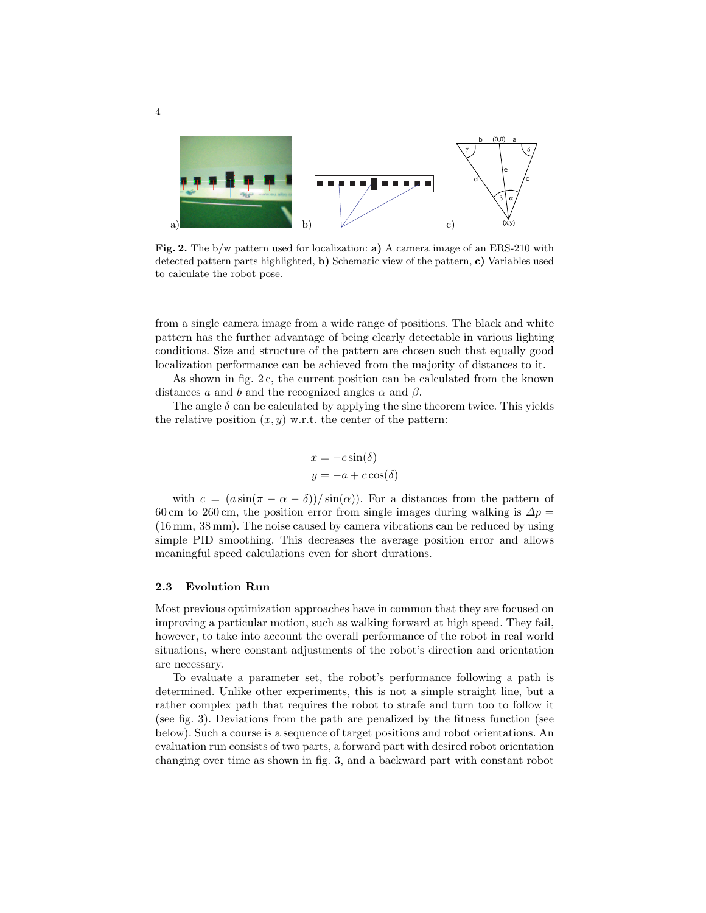

Fig. 2. The b/w pattern used for localization: a) A camera image of an ERS-210 with detected pattern parts highlighted, b) Schematic view of the pattern, c) Variables used to calculate the robot pose.

from a single camera image from a wide range of positions. The black and white pattern has the further advantage of being clearly detectable in various lighting conditions. Size and structure of the pattern are chosen such that equally good localization performance can be achieved from the majority of distances to it.

As shown in fig. 2 c, the current position can be calculated from the known distances a and b and the recognized angles  $\alpha$  and  $\beta$ .

The angle  $\delta$  can be calculated by applying the sine theorem twice. This yields the relative position  $(x, y)$  w.r.t. the center of the pattern:

$$
x = -c\sin(\delta)
$$
  

$$
y = -a + c\cos(\delta)
$$

with  $c = (a \sin(\pi - \alpha - \delta))/\sin(\alpha)$ . For a distances from the pattern of 60 cm to 260 cm, the position error from single images during walking is  $\Delta p =$ (16 mm, 38 mm). The noise caused by camera vibrations can be reduced by using simple PID smoothing. This decreases the average position error and allows meaningful speed calculations even for short durations.

#### 2.3 Evolution Run

Most previous optimization approaches have in common that they are focused on improving a particular motion, such as walking forward at high speed. They fail, however, to take into account the overall performance of the robot in real world situations, where constant adjustments of the robot's direction and orientation are necessary.

To evaluate a parameter set, the robot's performance following a path is determined. Unlike other experiments, this is not a simple straight line, but a rather complex path that requires the robot to strafe and turn too to follow it (see fig. 3). Deviations from the path are penalized by the fitness function (see below). Such a course is a sequence of target positions and robot orientations. An evaluation run consists of two parts, a forward part with desired robot orientation changing over time as shown in fig. 3, and a backward part with constant robot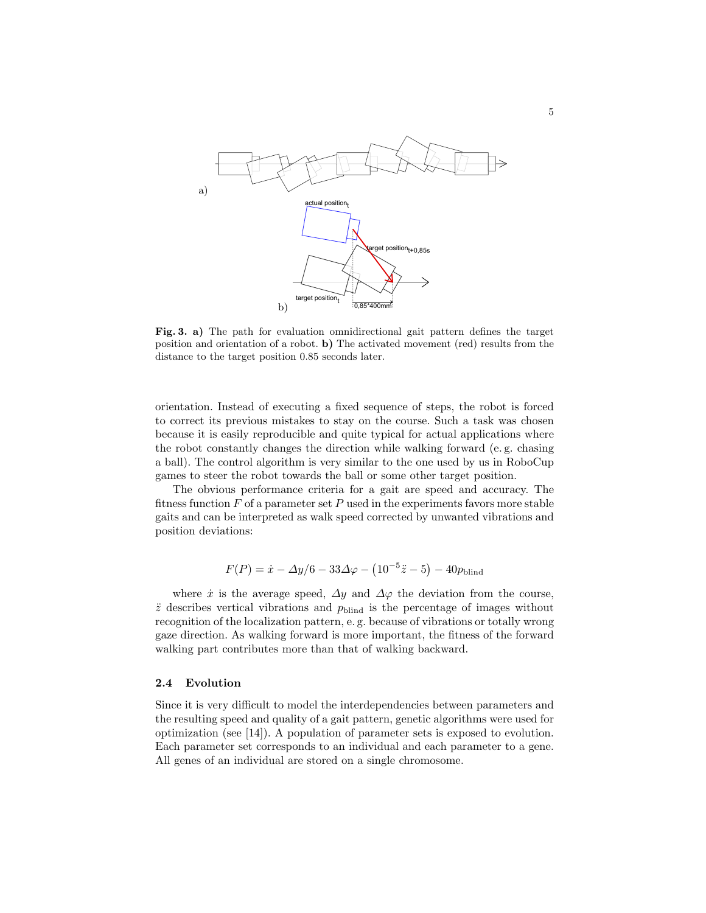

Fig. 3. a) The path for evaluation omnidirectional gait pattern defines the target position and orientation of a robot. b) The activated movement (red) results from the distance to the target position 0.85 seconds later.

orientation. Instead of executing a fixed sequence of steps, the robot is forced to correct its previous mistakes to stay on the course. Such a task was chosen because it is easily reproducible and quite typical for actual applications where the robot constantly changes the direction while walking forward (e. g. chasing a ball). The control algorithm is very similar to the one used by us in RoboCup games to steer the robot towards the ball or some other target position.

The obvious performance criteria for a gait are speed and accuracy. The fitness function  $F$  of a parameter set  $P$  used in the experiments favors more stable gaits and can be interpreted as walk speed corrected by unwanted vibrations and position deviations:

$$
F(P) = \dot{x} - \Delta y/6 - 33\Delta\varphi - (10^{-5}\ddot{z} - 5) - 40p_{\text{blind}}
$$

where  $\dot{x}$  is the average speed,  $\Delta y$  and  $\Delta \varphi$  the deviation from the course,  $\ddot{z}$  describes vertical vibrations and  $p_{\text{blind}}$  is the percentage of images without recognition of the localization pattern, e. g. because of vibrations or totally wrong gaze direction. As walking forward is more important, the fitness of the forward walking part contributes more than that of walking backward.

## 2.4 Evolution

Since it is very difficult to model the interdependencies between parameters and the resulting speed and quality of a gait pattern, genetic algorithms were used for optimization (see [14]). A population of parameter sets is exposed to evolution. Each parameter set corresponds to an individual and each parameter to a gene. All genes of an individual are stored on a single chromosome.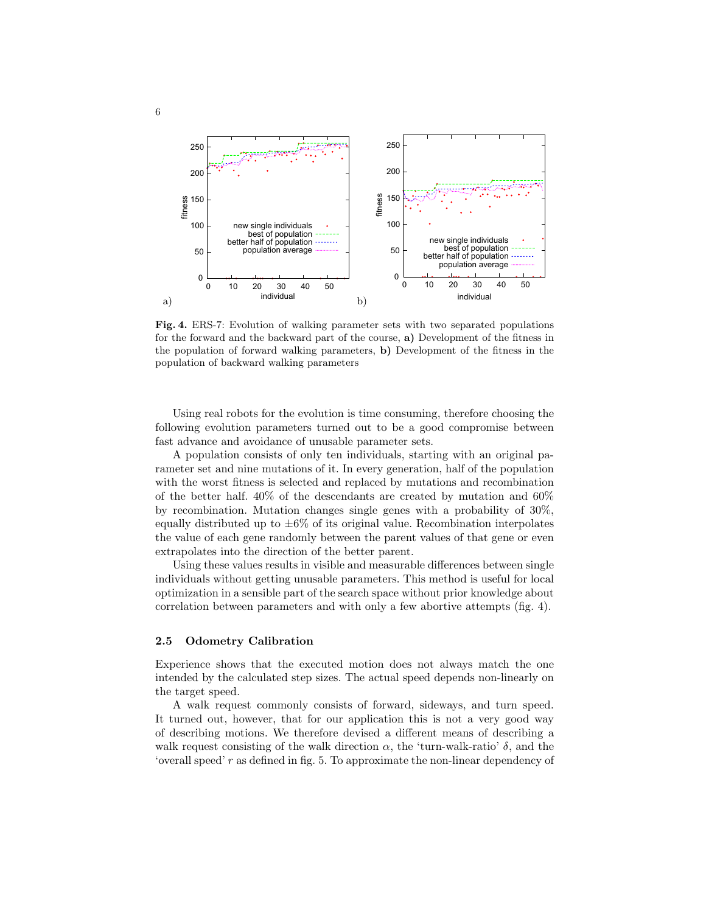

Fig. 4. ERS-7: Evolution of walking parameter sets with two separated populations for the forward and the backward part of the course, a) Development of the fitness in the population of forward walking parameters, b) Development of the fitness in the population of backward walking parameters

Using real robots for the evolution is time consuming, therefore choosing the following evolution parameters turned out to be a good compromise between fast advance and avoidance of unusable parameter sets.

A population consists of only ten individuals, starting with an original parameter set and nine mutations of it. In every generation, half of the population with the worst fitness is selected and replaced by mutations and recombination of the better half. 40% of the descendants are created by mutation and 60% by recombination. Mutation changes single genes with a probability of 30%, equally distributed up to  $\pm 6\%$  of its original value. Recombination interpolates the value of each gene randomly between the parent values of that gene or even extrapolates into the direction of the better parent.

Using these values results in visible and measurable differences between single individuals without getting unusable parameters. This method is useful for local optimization in a sensible part of the search space without prior knowledge about correlation between parameters and with only a few abortive attempts (fig. 4).

## 2.5 Odometry Calibration

6

Experience shows that the executed motion does not always match the one intended by the calculated step sizes. The actual speed depends non-linearly on the target speed.

A walk request commonly consists of forward, sideways, and turn speed. It turned out, however, that for our application this is not a very good way of describing motions. We therefore devised a different means of describing a walk request consisting of the walk direction  $\alpha$ , the 'turn-walk-ratio'  $\delta$ , and the 'overall speed' r as defined in fig. 5. To approximate the non-linear dependency of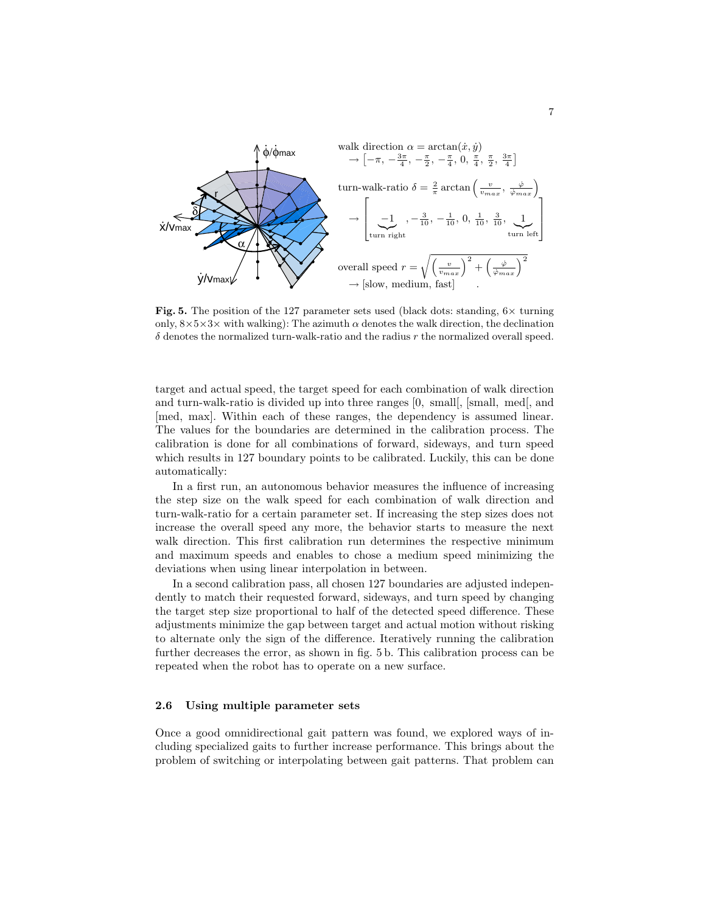

Fig. 5. The position of the 127 parameter sets used (black dots: standing,  $6\times$  turning only,  $8\times5\times3\times$  with walking): The azimuth  $\alpha$  denotes the walk direction, the declination  $\delta$  denotes the normalized turn-walk-ratio and the radius  $r$  the normalized overall speed.

target and actual speed, the target speed for each combination of walk direction and turn-walk-ratio is divided up into three ranges [0, small], [small, med], and [med, max]. Within each of these ranges, the dependency is assumed linear. The values for the boundaries are determined in the calibration process. The calibration is done for all combinations of forward, sideways, and turn speed which results in 127 boundary points to be calibrated. Luckily, this can be done automatically:

In a first run, an autonomous behavior measures the influence of increasing the step size on the walk speed for each combination of walk direction and turn-walk-ratio for a certain parameter set. If increasing the step sizes does not increase the overall speed any more, the behavior starts to measure the next walk direction. This first calibration run determines the respective minimum and maximum speeds and enables to chose a medium speed minimizing the deviations when using linear interpolation in between.

In a second calibration pass, all chosen 127 boundaries are adjusted independently to match their requested forward, sideways, and turn speed by changing the target step size proportional to half of the detected speed difference. These adjustments minimize the gap between target and actual motion without risking to alternate only the sign of the difference. Iteratively running the calibration further decreases the error, as shown in fig. 5 b. This calibration process can be repeated when the robot has to operate on a new surface.

## 2.6 Using multiple parameter sets

Once a good omnidirectional gait pattern was found, we explored ways of including specialized gaits to further increase performance. This brings about the problem of switching or interpolating between gait patterns. That problem can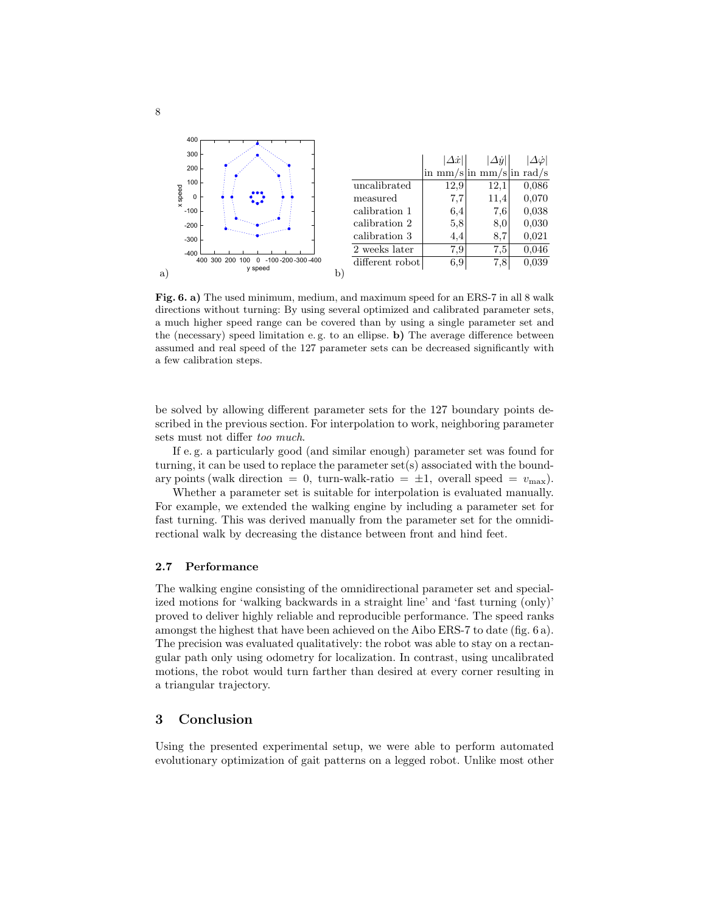

Fig. 6. a) The used minimum, medium, and maximum speed for an ERS-7 in all 8 walk directions without turning: By using several optimized and calibrated parameter sets, a much higher speed range can be covered than by using a single parameter set and the (necessary) speed limitation e. g. to an ellipse. b) The average difference between assumed and real speed of the 127 parameter sets can be decreased significantly with a few calibration steps.

be solved by allowing different parameter sets for the 127 boundary points described in the previous section. For interpolation to work, neighboring parameter sets must not differ too much.

If e. g. a particularly good (and similar enough) parameter set was found for turning, it can be used to replace the parameter set(s) associated with the boundary points (walk direction = 0, turn-walk-ratio =  $\pm 1$ , overall speed =  $v_{\text{max}}$ ).

Whether a parameter set is suitable for interpolation is evaluated manually. For example, we extended the walking engine by including a parameter set for fast turning. This was derived manually from the parameter set for the omnidirectional walk by decreasing the distance between front and hind feet.

#### 2.7 Performance

The walking engine consisting of the omnidirectional parameter set and specialized motions for 'walking backwards in a straight line' and 'fast turning (only)' proved to deliver highly reliable and reproducible performance. The speed ranks amongst the highest that have been achieved on the Aibo ERS-7 to date (fig. 6 a). The precision was evaluated qualitatively: the robot was able to stay on a rectangular path only using odometry for localization. In contrast, using uncalibrated motions, the robot would turn farther than desired at every corner resulting in a triangular trajectory.

# 3 Conclusion

Using the presented experimental setup, we were able to perform automated evolutionary optimization of gait patterns on a legged robot. Unlike most other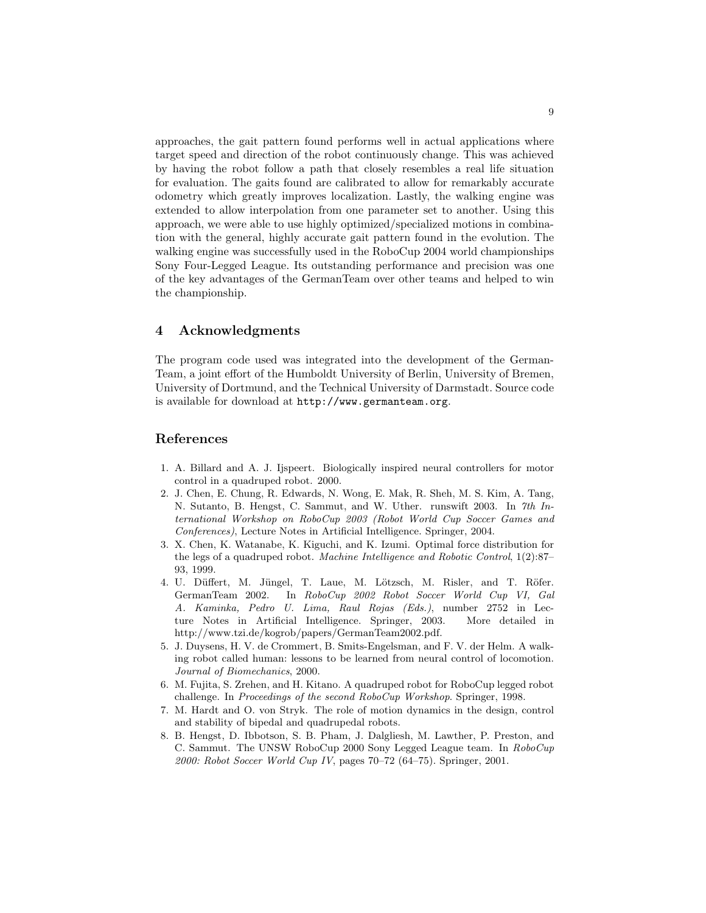approaches, the gait pattern found performs well in actual applications where target speed and direction of the robot continuously change. This was achieved by having the robot follow a path that closely resembles a real life situation for evaluation. The gaits found are calibrated to allow for remarkably accurate odometry which greatly improves localization. Lastly, the walking engine was extended to allow interpolation from one parameter set to another. Using this approach, we were able to use highly optimized/specialized motions in combination with the general, highly accurate gait pattern found in the evolution. The walking engine was successfully used in the RoboCup 2004 world championships Sony Four-Legged League. Its outstanding performance and precision was one of the key advantages of the GermanTeam over other teams and helped to win the championship.

# 4 Acknowledgments

The program code used was integrated into the development of the German-Team, a joint effort of the Humboldt University of Berlin, University of Bremen, University of Dortmund, and the Technical University of Darmstadt. Source code is available for download at http://www.germanteam.org.

# References

- 1. A. Billard and A. J. Ijspeert. Biologically inspired neural controllers for motor control in a quadruped robot. 2000.
- 2. J. Chen, E. Chung, R. Edwards, N. Wong, E. Mak, R. Sheh, M. S. Kim, A. Tang, N. Sutanto, B. Hengst, C. Sammut, and W. Uther. runswift 2003. In 7th International Workshop on RoboCup 2003 (Robot World Cup Soccer Games and Conferences), Lecture Notes in Artificial Intelligence. Springer, 2004.
- 3. X. Chen, K. Watanabe, K. Kiguchi, and K. Izumi. Optimal force distribution for the legs of a quadruped robot. Machine Intelligence and Robotic Control, 1(2):87– 93, 1999.
- 4. U. Düffert, M. Jüngel, T. Laue, M. Lötzsch, M. Risler, and T. Röfer. GermanTeam 2002. In RoboCup 2002 Robot Soccer World Cup VI, Gal A. Kaminka, Pedro U. Lima, Raul Rojas (Eds.), number 2752 in Lecture Notes in Artificial Intelligence. Springer, 2003. More detailed in http://www.tzi.de/kogrob/papers/GermanTeam2002.pdf.
- 5. J. Duysens, H. V. de Crommert, B. Smits-Engelsman, and F. V. der Helm. A walking robot called human: lessons to be learned from neural control of locomotion. Journal of Biomechanics, 2000.
- 6. M. Fujita, S. Zrehen, and H. Kitano. A quadruped robot for RoboCup legged robot challenge. In Proceedings of the second RoboCup Workshop. Springer, 1998.
- 7. M. Hardt and O. von Stryk. The role of motion dynamics in the design, control and stability of bipedal and quadrupedal robots.
- 8. B. Hengst, D. Ibbotson, S. B. Pham, J. Dalgliesh, M. Lawther, P. Preston, and C. Sammut. The UNSW RoboCup 2000 Sony Legged League team. In RoboCup 2000: Robot Soccer World Cup IV, pages 70–72 (64–75). Springer, 2001.